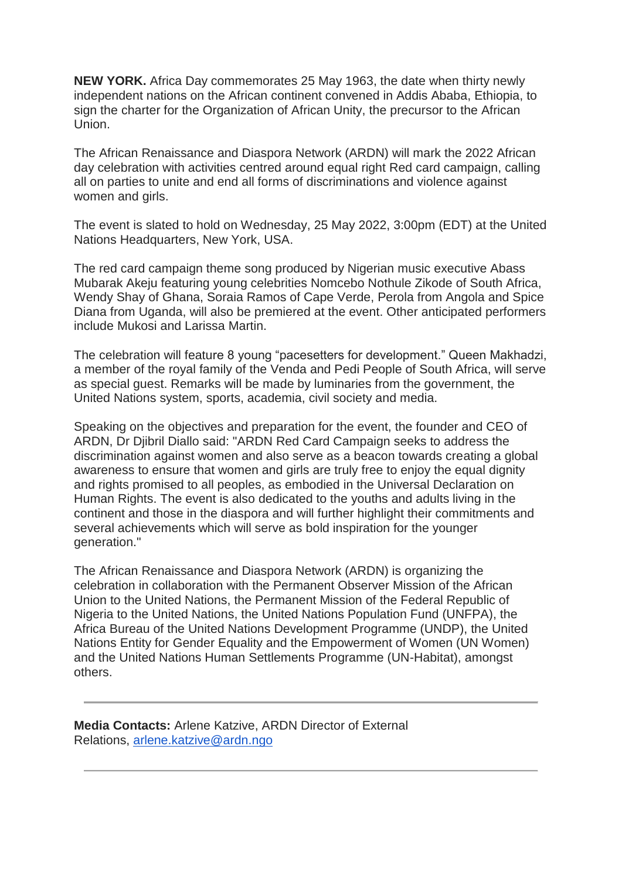**NEW YORK.** Africa Day commemorates 25 May 1963, the date when thirty newly independent nations on the African continent convened in Addis Ababa, Ethiopia, to sign the charter for the Organization of African Unity, the precursor to the African Union.

The African Renaissance and Diaspora Network (ARDN) will mark the 2022 African day celebration with activities centred around equal right Red card campaign, calling all on parties to unite and end all forms of discriminations and violence against women and girls.

The event is slated to hold on Wednesday, 25 May 2022, 3:00pm (EDT) at the United Nations Headquarters, New York, USA.

The red card campaign theme song produced by Nigerian music executive Abass Mubarak Akeju featuring young celebrities Nomcebo Nothule Zikode of South Africa, Wendy Shay of Ghana, Soraia Ramos of Cape Verde, Perola from Angola and Spice Diana from Uganda, will also be premiered at the event. Other anticipated performers include Mukosi and Larissa Martin.

The celebration will feature 8 young "pacesetters for development." Queen Makhadzi, a member of the royal family of the Venda and Pedi People of South Africa, will serve as special guest. Remarks will be made by luminaries from the government, the United Nations system, sports, academia, civil society and media.

Speaking on the objectives and preparation for the event, the founder and CEO of ARDN, Dr Djibril Diallo said: "ARDN Red Card Campaign seeks to address the discrimination against women and also serve as a beacon towards creating a global awareness to ensure that women and girls are truly free to enjoy the equal dignity and rights promised to all peoples, as embodied in the Universal Declaration on Human Rights. The event is also dedicated to the youths and adults living in the continent and those in the diaspora and will further highlight their commitments and several achievements which will serve as bold inspiration for the younger generation."

The African Renaissance and Diaspora Network (ARDN) is organizing the celebration in collaboration with the Permanent Observer Mission of the African Union to the United Nations, the Permanent Mission of the Federal Republic of Nigeria to the United Nations, the United Nations Population Fund (UNFPA), the Africa Bureau of the United Nations Development Programme (UNDP), the United Nations Entity for Gender Equality and the Empowerment of Women (UN Women) and the United Nations Human Settlements Programme (UN-Habitat), amongst others.

**Media Contacts:** Arlene Katzive, ARDN Director of External Relations, [arlene.katzive@ardn.ngo](mailto:arlene.katzive@ardn.ngo)